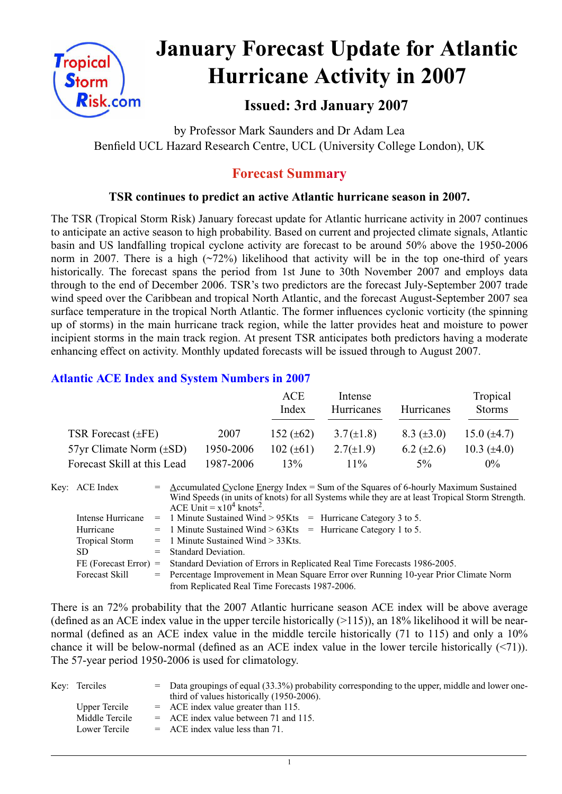

# **January Forecast Update for Atlantic Hurricane Activity in 2007**

# **Issued: 3rd January 2007**

by Professor Mark Saunders and Dr Adam Lea Benfield UCL Hazard Research Centre, UCL (University College London), UK

# **Forecast Summary**

## **TSR continues to predict an active Atlantic hurricane season in 2007.**

The TSR (Tropical Storm Risk) January forecast update for Atlantic hurricane activity in 2007 continues to anticipate an active season to high probability. Based on current and projected climate signals, Atlantic basin and US landfalling tropical cyclone activity are forecast to be around 50% above the 1950-2006 norm in 2007. There is a high  $(\sim 72\%)$  likelihood that activity will be in the top one-third of years historically. The forecast spans the period from 1st June to 30th November 2007 and employs data through to the end of December 2006. TSR's two predictors are the forecast July-September 2007 trade wind speed over the Caribbean and tropical North Atlantic, and the forecast August-September 2007 sea surface temperature in the tropical North Atlantic. The former influences cyclonic vorticity (the spinning up of storms) in the main hurricane track region, while the latter provides heat and moisture to power incipient storms in the main track region. At present TSR anticipates both predictors having a moderate enhancing effect on activity. Monthly updated forecasts will be issued through to August 2007.

## **Atlantic ACE Index and System Numbers in 2007**

|                                |           | ACE<br>Index   | Intense<br>Hurricanes | Hurricanes        | Tropical<br><b>Storms</b> |
|--------------------------------|-----------|----------------|-----------------------|-------------------|---------------------------|
| TSR Forecast $(\pm FE)$        | 2007      | 152 $(\pm 62)$ | $3.7(\pm 1.8)$        | $8.3 \ (\pm 3.0)$ | 15.0 $(\pm 4.7)$          |
| $57yr$ Climate Norm $(\pm SD)$ | 1950-2006 | 102 $(\pm 61)$ | $2.7(\pm 1.9)$        | $6.2 \ (\pm 2.6)$ | 10.3 $(\pm 4.0)$          |
| Forecast Skill at this Lead    | 1987-2006 | 13%            | $11\%$                | 5%                | $0\%$                     |

| Key: ACE Index          | $=$ Accumulated Cyclone Energy Index = Sum of the Squares of 6-hourly Maximum Sustained<br>Wind Speeds (in units of knots) for all Systems while they are at least Tropical Storm Strength.<br>ACE Unit = $x10^4$ knots <sup>2</sup> . |  |  |  |  |  |
|-------------------------|----------------------------------------------------------------------------------------------------------------------------------------------------------------------------------------------------------------------------------------|--|--|--|--|--|
| Intense Hurricane       | $=$ 1 Minute Sustained Wind > 95Kts $=$ Hurricane Category 3 to 5.                                                                                                                                                                     |  |  |  |  |  |
| Hurricane               | $=$ 1 Minute Sustained Wind > 63Kts = Hurricane Category 1 to 5.                                                                                                                                                                       |  |  |  |  |  |
| Tropical Storm          | $=$ 1 Minute Sustained Wind $>$ 33Kts.                                                                                                                                                                                                 |  |  |  |  |  |
| SD.                     | $=$ Standard Deviation.                                                                                                                                                                                                                |  |  |  |  |  |
| $FE$ (Forecast Error) = | Standard Deviation of Errors in Replicated Real Time Forecasts 1986-2005.                                                                                                                                                              |  |  |  |  |  |
| Forecast Skill          | = Percentage Improvement in Mean Square Error over Running 10-year Prior Climate Norm                                                                                                                                                  |  |  |  |  |  |
|                         | from Replicated Real Time Forecasts 1987-2006.                                                                                                                                                                                         |  |  |  |  |  |

There is an 72% probability that the 2007 Atlantic hurricane season ACE index will be above average (defined as an ACE index value in the upper tercile historically  $(>115)$ ), an 18% likelihood it will be nearnormal (defined as an ACE index value in the middle tercile historically (71 to 115) and only a 10% chance it will be below-normal (defined as an ACE index value in the lower tercile historically (<71)). The 57-year period 1950-2006 is used for climatology.

| Key: Terciles  | $=$ Data groupings of equal (33.3%) probability corresponding to the upper, middle and lower one-<br>third of values historically (1950-2006). |
|----------------|------------------------------------------------------------------------------------------------------------------------------------------------|
| Upper Tercile  | $=$ ACE index value greater than 115.                                                                                                          |
| Middle Tercile | $=$ ACE index value between 71 and 115.                                                                                                        |
| Lower Tercile  | $=$ ACE index value less than 71.                                                                                                              |

1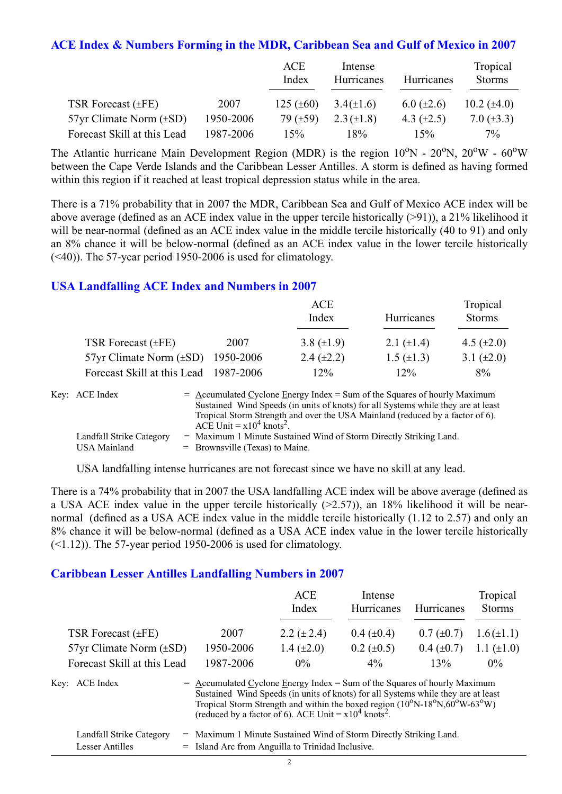#### **ACE Index & Numbers Forming in the MDR, Caribbean Sea and Gulf of Mexico in 2007**

|                                |           | ACE<br>Index   | Intense<br>Hurricanes | Hurricanes        | Tropical<br><b>Storms</b> |
|--------------------------------|-----------|----------------|-----------------------|-------------------|---------------------------|
| TSR Forecast $(\pm FE)$        | 2007      | 125 $(\pm 60)$ | $3.4(\pm 1.6)$        | $6.0 \ (\pm 2.6)$ | 10.2 $(\pm 4.0)$          |
| $57yr$ Climate Norm $(\pm SD)$ | 1950-2006 | 79 $(\pm 59)$  | $2.3 (\pm 1.8)$       | 4.3 $(\pm 2.5)$   | 7.0 $(\pm 3.3)$           |
| Forecast Skill at this Lead    | 1987-2006 | 15%            | 18%                   | 15%               | $7\%$                     |

The Atlantic hurricane Main Development Region (MDR) is the region  $10^{\circ}$ N -  $20^{\circ}$ N,  $20^{\circ}$ W -  $60^{\circ}$ W between the Cape Verde Islands and the Caribbean Lesser Antilles. A storm is defined as having formed within this region if it reached at least tropical depression status while in the area.

There is a 71% probability that in 2007 the MDR, Caribbean Sea and Gulf of Mexico ACE index will be above average (defined as an ACE index value in the upper tercile historically (>91)), a 21% likelihood it will be near-normal (defined as an ACE index value in the middle tercile historically (40 to 91) and only an 8% chance it will be below-normal (defined as an ACE index value in the lower tercile historically  $(\leq 40)$ ). The 57-year period 1950-2006 is used for climatology.

#### **USA Landfalling ACE Index and Numbers in 2007**

|                                       |           | ACE<br>Index      | Hurricanes        | Tropical<br><b>Storms</b> |
|---------------------------------------|-----------|-------------------|-------------------|---------------------------|
| TSR Forecast $(\pm FE)$               | 2007      | 3.8 $(\pm 1.9)$   | 2.1 $(\pm 1.4)$   | 4.5 $(\pm 2.0)$           |
| $57yr$ Climate Norm $(\pm SD)$        | 1950-2006 | $2.4 \ (\pm 2.2)$ | $1.5 \ (\pm 1.3)$ | 3.1 $(\pm 2.0)$           |
| Forecast Skill at this Lead 1987-2006 |           | $12\%$            | $12\%$            | 8%                        |

| Key: ACE Index           | $=$ Accumulated Cyclone Energy Index $=$ Sum of the Squares of hourly Maximum     |
|--------------------------|-----------------------------------------------------------------------------------|
|                          | Sustained Wind Speeds (in units of knots) for all Systems while they are at least |
|                          | Tropical Storm Strength and over the USA Mainland (reduced by a factor of 6).     |
|                          | ACE Unit = $x10^4$ knots <sup>2</sup> .                                           |
| Landfall Strike Category | = Maximum 1 Minute Sustained Wind of Storm Directly Striking Land.                |
| USA Mainland             | $=$ Brownsville (Texas) to Maine.                                                 |

USA landfalling intense hurricanes are not forecast since we have no skill at any lead.

There is a 74% probability that in 2007 the USA landfalling ACE index will be above average (defined as a USA ACE index value in the upper tercile historically (>2.57)), an 18% likelihood it will be nearnormal (defined as a USA ACE index value in the middle tercile historically (1.12 to 2.57) and only an 8% chance it will be below-normal (defined as a USA ACE index value in the lower tercile historically  $(\leq 1.12)$ ). The 57-year period 1950-2006 is used for climatology.

#### **Caribbean Lesser Antilles Landfalling Numbers in 2007**

|                                |                                                                             | <b>ACE</b><br>Index                                                                                                                                                                                                                                                 | Intense<br>Hurricanes | Hurricanes      | Tropical<br><b>Storms</b> |
|--------------------------------|-----------------------------------------------------------------------------|---------------------------------------------------------------------------------------------------------------------------------------------------------------------------------------------------------------------------------------------------------------------|-----------------------|-----------------|---------------------------|
| TSR Forecast $(\pm FE)$        | 2007                                                                        | 2.2 $(\pm 2.4)$                                                                                                                                                                                                                                                     | $0.4~(\pm 0.4)$       | $0.7 (\pm 0.7)$ | $1.6(\pm 1.1)$            |
| $57yr$ Climate Norm $(\pm SD)$ | 1950-2006                                                                   | 1.4 $(\pm 2.0)$                                                                                                                                                                                                                                                     | $0.2 \ (\pm 0.5)$     | $0.4~(\pm 0.7)$ | 1.1 $(\pm 1.0)$           |
| Forecast Skill at this Lead    | 1987-2006                                                                   | $0\%$                                                                                                                                                                                                                                                               | $4\%$                 | 13%             | $0\%$                     |
| Key: ACE Index                 | $=$ Accumulated Cyclone Energy Index = Sum of the Squares of hourly Maximum | Sustained Wind Speeds (in units of knots) for all Systems while they are at least<br>Tropical Storm Strength and within the boxed region $(10^{\circ}N-18^{\circ}N,60^{\circ}W-63^{\circ}W)$<br>(reduced by a factor of 6). ACE Unit = $x10^4$ knots <sup>2</sup> . |                       |                 |                           |

| Landfall Strike Category | = Maximum 1 Minute Sustained Wind of Storm Directly Striking Land. |
|--------------------------|--------------------------------------------------------------------|
| Lesser Antilles          | = Island Arc from Anguilla to Trinidad Inclusive.                  |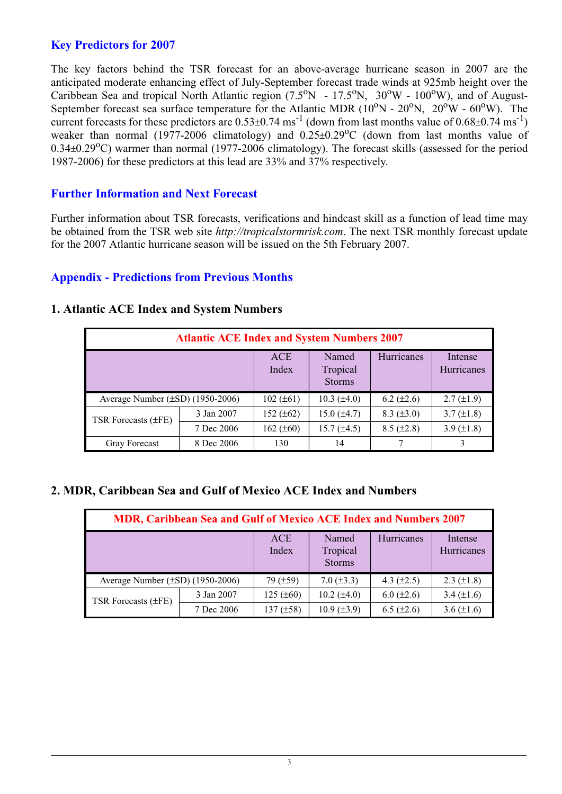## **Key Predictors for 2007**

The key factors behind the TSR forecast for an above-average hurricane season in 2007 are the anticipated moderate enhancing effect of July-September forecast trade winds at 925mb height over the Caribbean Sea and tropical North Atlantic region  $(7.5^{\circ}N - 17.5^{\circ}N, 30^{\circ}W - 100^{\circ}W)$ , and of August-September forecast sea surface temperature for the Atlantic MDR ( $10^{\circ}$ N -  $20^{\circ}$ N,  $20^{\circ}$ W -  $60^{\circ}$ W). The current forecasts for these predictors are  $0.53\pm0.74$  ms<sup>-1</sup> (down from last months value of  $0.68\pm0.74$  ms<sup>-1</sup>) weaker than normal (1977-2006 climatology) and  $0.25 \pm 0.29$ °C (down from last months value of  $0.34\pm0.29^{\circ}$ C) warmer than normal (1977-2006 climatology). The forecast skills (assessed for the period 1987-2006) for these predictors at this lead are 33% and 37% respectively.

## **Further Information and Next Forecast**

Further information about TSR forecasts, verifications and hindcast skill as a function of lead time may be obtained from the TSR web site *http://tropicalstormrisk.com*. The next TSR monthly forecast update for the 2007 Atlantic hurricane season will be issued on the 5th February 2007.

#### **Appendix - Predictions from Previous Months**

| <b>Atlantic ACE Index and System Numbers 2007</b> |            |                     |                                    |                   |                       |  |  |
|---------------------------------------------------|------------|---------------------|------------------------------------|-------------------|-----------------------|--|--|
|                                                   |            | <b>ACE</b><br>Index | Named<br>Tropical<br><b>Storms</b> | Hurricanes        | Intense<br>Hurricanes |  |  |
| Average Number $(\pm SD)$ (1950-2006)             |            | $102 (\pm 61)$      | $10.3 \ (\pm 4.0)$                 | 6.2 $(\pm 2.6)$   | $2.7 (\pm 1.9)$       |  |  |
| TSR Forecasts $(\pm FE)$                          | 3 Jan 2007 | 152 $(\pm 62)$      | $15.0 (\pm 4.7)$                   | $8.3 \ (\pm 3.0)$ | $3.7 (\pm 1.8)$       |  |  |
|                                                   | 7 Dec 2006 | 162 $(\pm 60)$      | $15.7 (\pm 4.5)$                   | $8.5 (\pm 2.8)$   | 3.9 $(\pm 1.8)$       |  |  |
| <b>Gray Forecast</b>                              | 8 Dec 2006 | 130                 | 14                                 |                   |                       |  |  |

#### **1. Atlantic ACE Index and System Numbers**

## **2. MDR, Caribbean Sea and Gulf of Mexico ACE Index and Numbers**

| MDR, Caribbean Sea and Gulf of Mexico ACE Index and Numbers 2007 |            |                   |                                    |                 |                       |  |  |
|------------------------------------------------------------------|------------|-------------------|------------------------------------|-----------------|-----------------------|--|--|
|                                                                  |            | ACE<br>Index      | Named<br>Tropical<br><b>Storms</b> | Hurricanes      | Intense<br>Hurricanes |  |  |
| Average Number $(\pm SD)$ (1950-2006)                            |            | $79$ ( $\pm 59$ ) | $7.0 (\pm 3.3)$                    | 4.3 $(\pm 2.5)$ | $2.3 \ (\pm 1.8)$     |  |  |
| TSR Forecasts $(\pm FE)$                                         | 3 Jan 2007 | $125 (\pm 60)$    | $10.2 (\pm 4.0)$                   | $6.0 (\pm 2.6)$ | 3.4 $(\pm 1.6)$       |  |  |
|                                                                  | 7 Dec 2006 | 137 $(\pm 58)$    | $10.9 \ (\pm 3.9)$                 | $6.5 (\pm 2.6)$ | 3.6 $(\pm 1.6)$       |  |  |